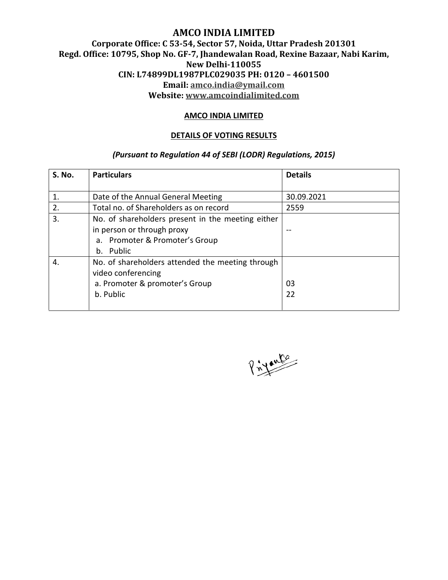# **AMCO INDIA LIMITED Corporate Office: C 53-54, Sector 57, Noida, Uttar Pradesh 201301 Regd. Office: 10795, Shop No. GF-7, Jhandewalan Road, Rexine Bazaar, Nabi Karim, New Delhi-110055 CIN: L74899DL1987PLC029035 PH: 0120 – 4601500 Email: amco.india@ymail.com Website: www.amcoindialimited.com**

#### **AMCO INDIA LIMITED**

#### **DETAILS OF VOTING RESULTS**

### *(Pursuant to Regulation 44 of SEBI (LODR) Regulations, 2015)*

| S. No. | <b>Particulars</b>                                | <b>Details</b> |
|--------|---------------------------------------------------|----------------|
|        |                                                   |                |
| 1.     | Date of the Annual General Meeting                | 30.09.2021     |
| 2.     | Total no. of Shareholders as on record            | 2559           |
| 3.     | No. of shareholders present in the meeting either |                |
|        | in person or through proxy                        |                |
|        | a. Promoter & Promoter's Group                    |                |
|        | Public<br>b.                                      |                |
| 4.     | No. of shareholders attended the meeting through  |                |
|        | video conferencing                                |                |
|        | a. Promoter & promoter's Group                    | 03             |
|        | b. Public                                         | 22             |
|        |                                                   |                |

Privante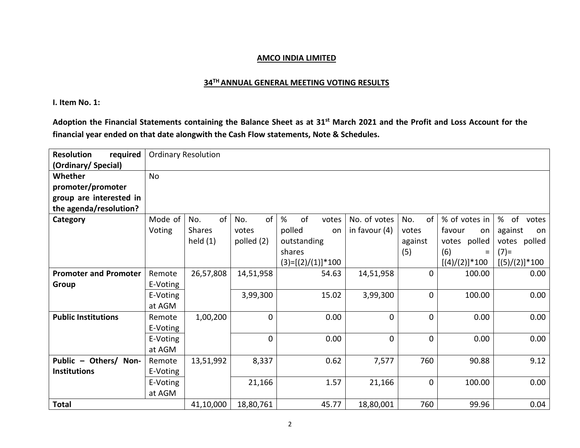#### **34TH ANNUAL GENERAL MEETING VOTING RESULTS**

**I. Item No. 1:** 

**Adoption the Financial Statements containing the Balance Sheet as at 31st March 2021 and the Profit and Loss Account for the financial year ended on that date alongwith the Cash Flow statements, Note & Schedules.** 

| <b>Resolution</b><br>required |           | <b>Ordinary Resolution</b> |                |                     |                 |             |                  |                  |
|-------------------------------|-----------|----------------------------|----------------|---------------------|-----------------|-------------|------------------|------------------|
| (Ordinary/Special)            |           |                            |                |                     |                 |             |                  |                  |
| Whether                       | <b>No</b> |                            |                |                     |                 |             |                  |                  |
| promoter/promoter             |           |                            |                |                     |                 |             |                  |                  |
| group are interested in       |           |                            |                |                     |                 |             |                  |                  |
| the agenda/resolution?        |           |                            |                |                     |                 |             |                  |                  |
| Category                      | Mode of   | of<br>No.                  | of<br>No.      | of<br>%<br>votes    | No. of votes    | No.<br>of   | % of votes in    | %<br>of<br>votes |
|                               | Voting    | <b>Shares</b>              | votes          | polled<br>on        | in favour $(4)$ | votes       | favour<br>on     | against<br>on    |
|                               |           | held $(1)$                 | polled (2)     | outstanding         |                 | against     | polled<br>votes  | polled<br>votes  |
|                               |           |                            |                | shares              |                 | (5)         | (6)<br>$=$       | $(7)$ =          |
|                               |           |                            |                | $(3)=[(2)/(1)]*100$ |                 |             | $[(4)/(2)]$ *100 | $[(5)/(2)]$ *100 |
| <b>Promoter and Promoter</b>  | Remote    | 26,57,808                  | 14,51,958      | 54.63               | 14,51,958       | $\mathbf 0$ | 100.00           | 0.00             |
| Group                         | E-Voting  |                            |                |                     |                 |             |                  |                  |
|                               | E-Voting  |                            | 3,99,300       | 15.02               | 3,99,300        | $\mathbf 0$ | 100.00           | 0.00             |
|                               | at AGM    |                            |                |                     |                 |             |                  |                  |
| <b>Public Institutions</b>    | Remote    | 1,00,200                   | $\overline{0}$ | 0.00                | 0               | $\mathbf 0$ | 0.00             | 0.00             |
|                               | E-Voting  |                            |                |                     |                 |             |                  |                  |
|                               | E-Voting  |                            | $\overline{0}$ | 0.00                | 0               | $\mathbf 0$ | 0.00             | 0.00             |
|                               | at AGM    |                            |                |                     |                 |             |                  |                  |
| Public - Others/ Non-         | Remote    | 13,51,992                  | 8,337          | 0.62                | 7,577           | 760         | 90.88            | 9.12             |
| <b>Institutions</b>           | E-Voting  |                            |                |                     |                 |             |                  |                  |
|                               | E-Voting  |                            | 21,166         | 1.57                | 21,166          | $\mathbf 0$ | 100.00           | 0.00             |
|                               | at AGM    |                            |                |                     |                 |             |                  |                  |
| <b>Total</b>                  |           | 41,10,000                  | 18,80,761      | 45.77               | 18,80,001       | 760         | 99.96            | 0.04             |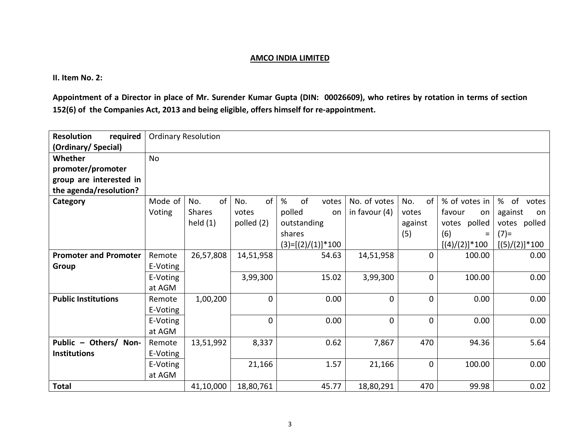**II. Item No. 2:** 

**Appointment of a Director in place of Mr. Surender Kumar Gupta (DIN: 00026609), who retires by rotation in terms of section 152(6) of the Companies Act, 2013 and being eligible, offers himself for re-appointment.** 

| required<br><b>Resolution</b> |           | <b>Ordinary Resolution</b> |                |                     |                 |              |                   |                  |
|-------------------------------|-----------|----------------------------|----------------|---------------------|-----------------|--------------|-------------------|------------------|
| (Ordinary/Special)            |           |                            |                |                     |                 |              |                   |                  |
| Whether                       | <b>No</b> |                            |                |                     |                 |              |                   |                  |
| promoter/promoter             |           |                            |                |                     |                 |              |                   |                  |
| group are interested in       |           |                            |                |                     |                 |              |                   |                  |
| the agenda/resolution?        |           |                            |                |                     |                 |              |                   |                  |
| Category                      | Mode of   | of<br>No.                  | of<br>No.      | of<br>%<br>votes    | No. of votes    | of<br>No.    | % of votes in     | %<br>of<br>votes |
|                               | Voting    | <b>Shares</b>              | votes          | polled<br>on        | in favour $(4)$ | votes        | favour<br>on      | against<br>on    |
|                               |           | held $(1)$                 | polled (2)     | outstanding         |                 | against      | polled<br>votes   | polled<br>votes  |
|                               |           |                            |                | shares              |                 | (5)          | (6)<br>Ξ          | $(7)$ =          |
|                               |           |                            |                | $(3)=[(2)/(1)]*100$ |                 |              | $[(4)/(2)]$ * 100 | $[(5)/(2)]$ *100 |
| <b>Promoter and Promoter</b>  | Remote    | 26,57,808                  | 14,51,958      | 54.63               | 14,51,958       | $\mathbf 0$  | 100.00            | 0.00             |
| Group                         | E-Voting  |                            |                |                     |                 |              |                   |                  |
|                               | E-Voting  |                            | 3,99,300       | 15.02               | 3,99,300        | $\mathbf{0}$ | 100.00            | 0.00             |
|                               | at AGM    |                            |                |                     |                 |              |                   |                  |
| <b>Public Institutions</b>    | Remote    | 1,00,200                   | $\overline{0}$ | 0.00                | 0               | $\mathbf 0$  | 0.00              | 0.00             |
|                               | E-Voting  |                            |                |                     |                 |              |                   |                  |
|                               | E-Voting  |                            | $\mathbf{0}$   | 0.00                | 0               | $\mathbf 0$  | 0.00              | 0.00             |
|                               | at AGM    |                            |                |                     |                 |              |                   |                  |
| Public - Others/ Non-         | Remote    | 13,51,992                  | 8,337          | 0.62                | 7,867           | 470          | 94.36             | 5.64             |
| <b>Institutions</b>           | E-Voting  |                            |                |                     |                 |              |                   |                  |
|                               | E-Voting  |                            | 21,166         | 1.57                | 21,166          | $\mathbf 0$  | 100.00            | 0.00             |
|                               | at AGM    |                            |                |                     |                 |              |                   |                  |
| <b>Total</b>                  |           | 41,10,000                  | 18,80,761      | 45.77               | 18,80,291       | 470          | 99.98             | 0.02             |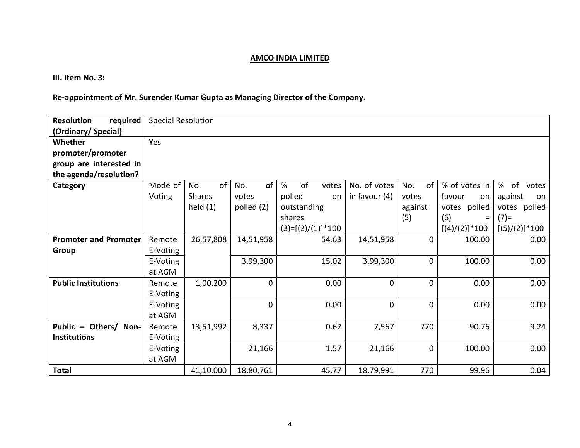**III. Item No. 3:** 

# **Re-appointment of Mr. Surender Kumar Gupta as Managing Director of the Company.**

| required<br><b>Resolution</b> |          | <b>Special Resolution</b> |                |                     |                 |                      |                   |                   |
|-------------------------------|----------|---------------------------|----------------|---------------------|-----------------|----------------------|-------------------|-------------------|
| (Ordinary/Special)            |          |                           |                |                     |                 |                      |                   |                   |
| Whether                       | Yes      |                           |                |                     |                 |                      |                   |                   |
| promoter/promoter             |          |                           |                |                     |                 |                      |                   |                   |
| group are interested in       |          |                           |                |                     |                 |                      |                   |                   |
| the agenda/resolution?        |          |                           |                |                     |                 |                      |                   |                   |
| Category                      | Mode of  | No.<br>of                 | of<br>No.      | %<br>of<br>votes    | No. of votes    | No.<br><sub>of</sub> | % of votes in     | % of<br>votes     |
|                               | Voting   | <b>Shares</b>             | votes          | polled<br><b>on</b> | in favour $(4)$ | votes                | favour<br>on      | against<br>on     |
|                               |          | held $(1)$                | polled (2)     | outstanding         |                 | against              | votes polled      | votes polled      |
|                               |          |                           |                | shares              |                 | (5)                  | (6)<br>$=$        | $(7)$ =           |
|                               |          |                           |                | $(3)=[(2)/(1)]*100$ |                 |                      | $[(4)/(2)]$ * 100 | $[(5)/(2)]$ * 100 |
| <b>Promoter and Promoter</b>  | Remote   | 26,57,808                 | 14,51,958      | 54.63               | 14,51,958       | 0                    | 100.00            | 0.00              |
| Group                         | E-Voting |                           |                |                     |                 |                      |                   |                   |
|                               | E-Voting |                           | 3,99,300       | 15.02               | 3,99,300        | 0                    | 100.00            | 0.00              |
|                               | at AGM   |                           |                |                     |                 |                      |                   |                   |
| <b>Public Institutions</b>    | Remote   | 1,00,200                  | $\overline{0}$ | 0.00                | $\mathbf{0}$    | $\mathbf{0}$         | 0.00              | 0.00              |
|                               | E-Voting |                           |                |                     |                 |                      |                   |                   |
|                               | E-Voting |                           | $\mathbf{0}$   | 0.00                | 0               | 0                    | 0.00              | 0.00              |
|                               | at AGM   |                           |                |                     |                 |                      |                   |                   |
| Public - Others/ Non-         | Remote   | 13,51,992                 | 8,337          | 0.62                | 7,567           | 770                  | 90.76             | 9.24              |
| <b>Institutions</b>           | E-Voting |                           |                |                     |                 |                      |                   |                   |
|                               | E-Voting |                           | 21,166         | 1.57                | 21,166          | 0                    | 100.00            | 0.00              |
|                               | at AGM   |                           |                |                     |                 |                      |                   |                   |
| <b>Total</b>                  |          | 41,10,000                 | 18,80,761      | 45.77               | 18,79,991       | 770                  | 99.96             | 0.04              |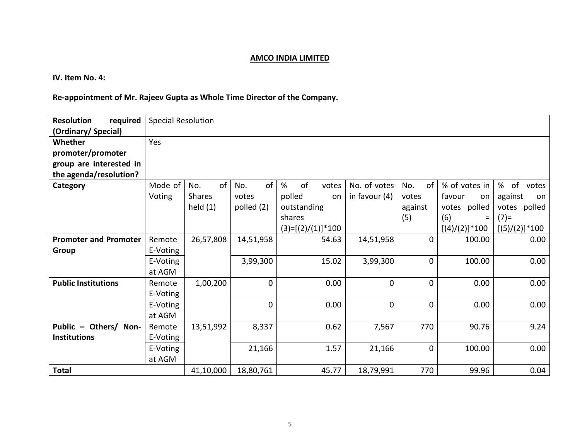**IV. Item No. 4:** 

# **Re-appointment of Mr. Rajeev Gupta as Whole Time Director of the Company.**

| required<br><b>Resolution</b> |          | <b>Special Resolution</b> |             |                     |                 |                      |                   |                  |
|-------------------------------|----------|---------------------------|-------------|---------------------|-----------------|----------------------|-------------------|------------------|
| (Ordinary/Special)            |          |                           |             |                     |                 |                      |                   |                  |
| Whether                       | Yes      |                           |             |                     |                 |                      |                   |                  |
| promoter/promoter             |          |                           |             |                     |                 |                      |                   |                  |
| group are interested in       |          |                           |             |                     |                 |                      |                   |                  |
| the agenda/resolution?        |          |                           |             |                     |                 |                      |                   |                  |
| Category                      | Mode of  | No.<br>of                 | of<br>No.   | %<br>of<br>votes    | No. of votes    | No.<br><sub>of</sub> | % of votes in     | % of votes       |
|                               | Voting   | <b>Shares</b>             | votes       | polled<br>on        | in favour $(4)$ | votes                | favour<br>on      | against<br>on    |
|                               |          | held $(1)$                | polled (2)  | outstanding         |                 | against              | votes polled      | votes polled     |
|                               |          |                           |             | shares              |                 | (5)                  | (6)<br>$=$        | $(7)$ =          |
|                               |          |                           |             | $(3)=[(2)/(1)]*100$ |                 |                      | $[(4)/(2)]$ * 100 | $[(5)/(2)]$ *100 |
| <b>Promoter and Promoter</b>  | Remote   | 26,57,808                 | 14,51,958   | 54.63               | 14,51,958       | 0                    | 100.00            | 0.00             |
| Group                         | E-Voting |                           |             |                     |                 |                      |                   |                  |
|                               | E-Voting |                           | 3,99,300    | 15.02               | 3,99,300        | 0                    | 100.00            | 0.00             |
|                               | at AGM   |                           |             |                     |                 |                      |                   |                  |
| <b>Public Institutions</b>    | Remote   | 1,00,200                  | $\mathbf 0$ | 0.00                | 0               | 0                    | 0.00              | 0.00             |
|                               | E-Voting |                           |             |                     |                 |                      |                   |                  |
|                               | E-Voting |                           | $\mathbf 0$ | 0.00                | $\mathbf 0$     | $\mathbf{0}$         | 0.00              | 0.00             |
|                               | at AGM   |                           |             |                     |                 |                      |                   |                  |
| Public - Others/ Non-         | Remote   | 13,51,992                 | 8,337       | 0.62                | 7,567           | 770                  | 90.76             | 9.24             |
| <b>Institutions</b>           | E-Voting |                           |             |                     |                 |                      |                   |                  |
|                               | E-Voting |                           | 21,166      | 1.57                | 21,166          | 0                    | 100.00            | 0.00             |
|                               | at AGM   |                           |             |                     |                 |                      |                   |                  |
| <b>Total</b>                  |          | 41,10,000                 | 18,80,761   | 45.77               | 18,79,991       | 770                  | 99.96             | 0.04             |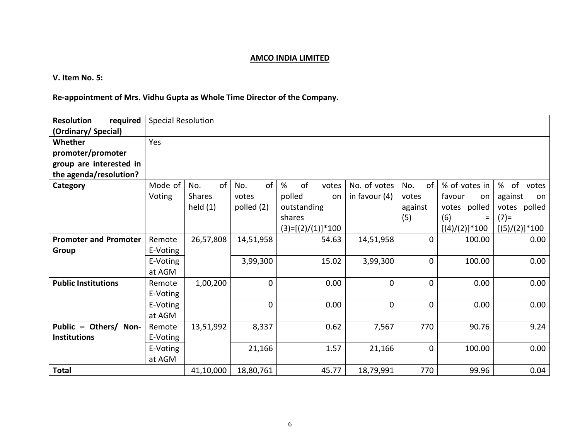**V. Item No. 5:** 

# **Re-appointment of Mrs. Vidhu Gupta as Whole Time Director of the Company.**

| required<br><b>Resolution</b> |          | <b>Special Resolution</b> |              |                     |                 |              |                   |                  |
|-------------------------------|----------|---------------------------|--------------|---------------------|-----------------|--------------|-------------------|------------------|
| (Ordinary/Special)            |          |                           |              |                     |                 |              |                   |                  |
| Whether                       | Yes      |                           |              |                     |                 |              |                   |                  |
| promoter/promoter             |          |                           |              |                     |                 |              |                   |                  |
| group are interested in       |          |                           |              |                     |                 |              |                   |                  |
| the agenda/resolution?        |          |                           |              |                     |                 |              |                   |                  |
| Category                      | Mode of  | of<br>No.                 | of<br>No.    | %<br>of<br>votes    | No. of votes    | No.<br>of    | % of votes in     | % of votes       |
|                               | Voting   | <b>Shares</b>             | votes        | polled<br>on        | in favour $(4)$ | votes        | favour<br>on      | against<br>on    |
|                               |          | held $(1)$                | polled (2)   | outstanding         |                 | against      | votes polled      | votes polled     |
|                               |          |                           |              | shares              |                 | (5)          | (6)<br>$\equiv$   | $(7)$ =          |
|                               |          |                           |              | $(3)=[(2)/(1)]*100$ |                 |              | $[(4)/(2)]$ * 100 | $[(5)/(2)]$ *100 |
| <b>Promoter and Promoter</b>  | Remote   | 26,57,808                 | 14,51,958    | 54.63               | 14,51,958       | 0            | 100.00            | 0.00             |
| Group                         | E-Voting |                           |              |                     |                 |              |                   |                  |
|                               | E-Voting |                           | 3,99,300     | 15.02               | 3,99,300        | 0            | 100.00            | 0.00             |
|                               | at AGM   |                           |              |                     |                 |              |                   |                  |
| <b>Public Institutions</b>    | Remote   | 1,00,200                  | $\mathbf{0}$ | 0.00                | 0               | $\mathbf{0}$ | 0.00              | 0.00             |
|                               | E-Voting |                           |              |                     |                 |              |                   |                  |
|                               | E-Voting |                           | 0            | 0.00                | 0               | 0            | 0.00              | 0.00             |
|                               | at AGM   |                           |              |                     |                 |              |                   |                  |
| Public - Others/ Non-         | Remote   | 13,51,992                 | 8,337        | 0.62                | 7,567           | 770          | 90.76             | 9.24             |
| <b>Institutions</b>           | E-Voting |                           |              |                     |                 |              |                   |                  |
|                               | E-Voting |                           | 21,166       | 1.57                | 21,166          | 0            | 100.00            | 0.00             |
|                               | at AGM   |                           |              |                     |                 |              |                   |                  |
| <b>Total</b>                  |          | 41,10,000                 | 18,80,761    | 45.77               | 18,79,991       | 770          | 99.96             | 0.04             |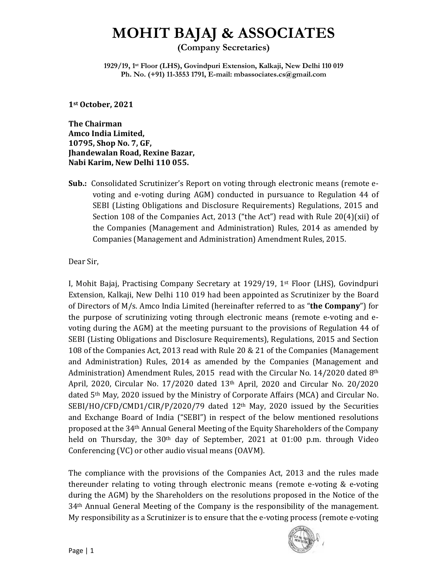# **MOHIT BAJAJ & ASSOCIATES**

**(Company Secretaries)** 

**1929/19, 1st Floor (LHS), Govindpuri Extension, Kalkaji, New Delhi 110 019 Ph. No. (+91) 11-3553 1791, E-mail: mbassociates.cs@gmail.com**

**1st October, 2021** 

**The Chairman Amco India Limited, 10795, Shop No. 7, GF, Jhandewalan Road, Rexine Bazar, Nabi Karim, New Delhi 110 055.** 

**Sub.:** Consolidated Scrutinizer's Report on voting through electronic means (remote evoting and e-voting during AGM) conducted in pursuance to Regulation 44 of SEBI (Listing Obligations and Disclosure Requirements) Regulations, 2015 and Section 108 of the Companies Act, 2013 ("the Act") read with Rule 20(4)(xii) of the Companies (Management and Administration) Rules, 2014 as amended by Companies (Management and Administration) Amendment Rules, 2015.

Dear Sir,

I, Mohit Bajaj, Practising Company Secretary at 1929/19, 1st Floor (LHS), Govindpuri Extension, Kalkaji, New Delhi 110 019 had been appointed as Scrutinizer by the Board of Directors of M/s. Amco India Limited (hereinafter referred to as "**the Company**") for the purpose of scrutinizing voting through electronic means (remote e-voting and evoting during the AGM) at the meeting pursuant to the provisions of Regulation 44 of SEBI (Listing Obligations and Disclosure Requirements), Regulations, 2015 and Section 108 of the Companies Act, 2013 read with Rule 20 & 21 of the Companies (Management and Administration) Rules, 2014 as amended by the Companies (Management and Administration) Amendment Rules, 2015 read with the Circular No. 14/2020 dated  $8<sup>th</sup>$ April, 2020, Circular No. 17/2020 dated 13th April, 2020 and Circular No. 20/2020 dated 5th May, 2020 issued by the Ministry of Corporate Affairs (MCA) and Circular No. SEBI/HO/CFD/CMD1/CIR/P/2020/79 dated 12<sup>th</sup> May, 2020 issued by the Securities and Exchange Board of India ("SEBI") in respect of the below mentioned resolutions proposed at the 34th Annual General Meeting of the Equity Shareholders of the Company held on Thursday, the  $30<sup>th</sup>$  day of September, 2021 at 01:00 p.m. through Video Conferencing (VC) or other audio visual means (OAVM).

The compliance with the provisions of the Companies Act, 2013 and the rules made thereunder relating to voting through electronic means (remote e-voting & e-voting during the AGM) by the Shareholders on the resolutions proposed in the Notice of the 34th Annual General Meeting of the Company is the responsibility of the management. My responsibility as a Scrutinizer is to ensure that the e-voting process (remote e-voting

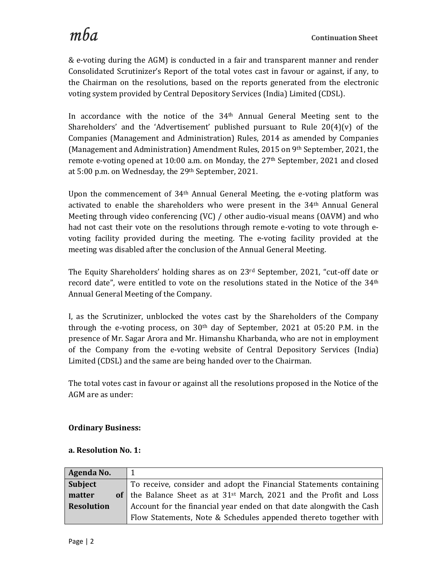& e-voting during the AGM) is conducted in a fair and transparent manner and render Consolidated Scrutinizer's Report of the total votes cast in favour or against, if any, to the Chairman on the resolutions, based on the reports generated from the electronic voting system provided by Central Depository Services (India) Limited (CDSL).

In accordance with the notice of the  $34<sup>th</sup>$  Annual General Meeting sent to the Shareholders' and the 'Advertisement' published pursuant to Rule  $20(4)(v)$  of the Companies (Management and Administration) Rules, 2014 as amended by Companies (Management and Administration) Amendment Rules, 2015 on 9th September, 2021, the remote e-voting opened at 10:00 a.m. on Monday, the 27<sup>th</sup> September, 2021 and closed at 5:00 p.m. on Wednesday, the 29th September, 2021.

Upon the commencement of 34th Annual General Meeting, the e-voting platform was activated to enable the shareholders who were present in the 34th Annual General Meeting through video conferencing (VC) / other audio-visual means (OAVM) and who had not cast their vote on the resolutions through remote e-voting to vote through evoting facility provided during the meeting. The e-voting facility provided at the meeting was disabled after the conclusion of the Annual General Meeting.

The Equity Shareholders' holding shares as on 23rd September, 2021, "cut-off date or record date", were entitled to vote on the resolutions stated in the Notice of the 34<sup>th</sup> Annual General Meeting of the Company.

I, as the Scrutinizer, unblocked the votes cast by the Shareholders of the Company through the e-voting process, on  $30<sup>th</sup>$  day of September, 2021 at 05:20 P.M. in the presence of Mr. Sagar Arora and Mr. Himanshu Kharbanda, who are not in employment of the Company from the e-voting website of Central Depository Services (India) Limited (CDSL) and the same are being handed over to the Chairman.

The total votes cast in favour or against all the resolutions proposed in the Notice of the AGM are as under:

#### **Ordinary Business:**

#### **a. Resolution No. 1:**

| Agenda No.        |                                                                                 |
|-------------------|---------------------------------------------------------------------------------|
| Subject           | To receive, consider and adopt the Financial Statements containing              |
| matter            | of the Balance Sheet as at 31 <sup>st</sup> March, 2021 and the Profit and Loss |
| <b>Resolution</b> | Account for the financial year ended on that date alongwith the Cash            |
|                   | Flow Statements, Note & Schedules appended thereto together with                |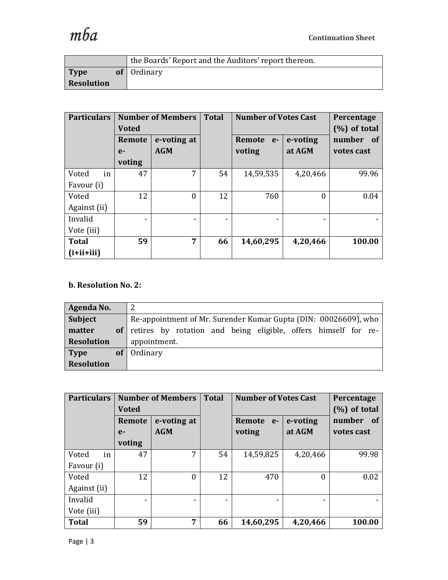|                   | the Boards' Report and the Auditors' report thereon. |
|-------------------|------------------------------------------------------|
| Type              | of $\theta$ Ordinary                                 |
| <b>Resolution</b> |                                                      |

| <b>Particulars</b> |        | <b>Number of Members</b> | <b>Total</b>                 | <b>Number of Votes Cast</b> | Percentage      |            |
|--------------------|--------|--------------------------|------------------------------|-----------------------------|-----------------|------------|
|                    | Voted  |                          |                              |                             | $(\%)$ of total |            |
|                    | Remote | e-voting at              |                              | Remote<br>$e-$              | e-voting        | number of  |
|                    | $e-$   | <b>AGM</b>               |                              | voting                      | at AGM          | votes cast |
|                    | voting |                          |                              |                             |                 |            |
| in<br>Voted        | 47     | 7                        | 54                           | 14,59,535                   | 4,20,466        | 99.96      |
| Favour (i)         |        |                          |                              |                             |                 |            |
| Voted              | 12     | $\boldsymbol{0}$         | 12                           | 760                         | 0               | 0.04       |
| Against (ii)       |        |                          |                              |                             |                 |            |
| Invalid            |        |                          | $\qquad \qquad \blacksquare$ |                             |                 |            |
| Vote (iii)         |        |                          |                              |                             |                 |            |
| <b>Total</b>       | 59     | 7                        | 66                           | 14,60,295                   | 4,20,466        | 100.00     |
| $(i+ii+iii)$       |        |                          |                              |                             |                 |            |

# **b. Resolution No. 2:**

| Agenda No.        |                 |                                                                 |
|-------------------|-----------------|-----------------------------------------------------------------|
| Subject           |                 | Re-appointment of Mr. Surender Kumar Gupta (DIN: 00026609), who |
| matter            | of <sub>1</sub> | retires by rotation and being eligible, offers himself for re-  |
| Resolution        |                 | appointment.                                                    |
| Type              | <b>of</b>       | Ordinary                                                        |
| <b>Resolution</b> |                 |                                                                 |

| <b>Particulars</b> |              | <b>Number of Members</b> | <b>Total</b> | <b>Number of Votes Cast</b> |          | Percentage      |
|--------------------|--------------|--------------------------|--------------|-----------------------------|----------|-----------------|
|                    | <b>Voted</b> |                          |              |                             |          | $(\%)$ of total |
|                    | Remote       | e-voting at              |              | Remote<br>$e-$              | e-voting | number<br>of    |
|                    | $e-$         | <b>AGM</b>               |              | voting                      | at AGM   | votes cast      |
|                    | voting       |                          |              |                             |          |                 |
| Voted<br>in        | 47           | 7                        | 54           | 14,59,825                   | 4,20,466 | 99.98           |
| Favour (i)         |              |                          |              |                             |          |                 |
| Voted              | 12           | $\boldsymbol{0}$         | 12           | 470                         |          | 0.02            |
| Against (ii)       |              |                          |              |                             |          |                 |
| Invalid            |              |                          | -            | ۰                           |          |                 |
| Vote (iii)         |              |                          |              |                             |          |                 |
| <b>Total</b>       | 59           | 7                        | 66           | 14,60,295                   | 4,20,466 | 100.00          |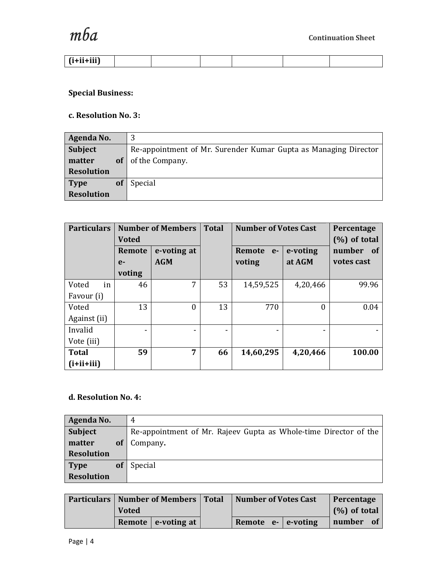

| . Gauan<br>гитии,<br>. |  |  |  |
|------------------------|--|--|--|

# **Special Business:**

### **c. Resolution No. 3:**

| Agenda No.        |           |                                                                 |
|-------------------|-----------|-----------------------------------------------------------------|
| <b>Subject</b>    |           | Re-appointment of Mr. Surender Kumar Gupta as Managing Director |
| matter            | of        | of the Company.                                                 |
| <b>Resolution</b> |           |                                                                 |
| <b>Type</b>       | <b>of</b> | Special                                                         |
| <b>Resolution</b> |           |                                                                 |

| <b>Particulars</b> |        | <b>Number of Members</b> | <b>Total</b> | <b>Number of Votes Cast</b> | Percentage       |            |
|--------------------|--------|--------------------------|--------------|-----------------------------|------------------|------------|
|                    | Voted  |                          |              |                             | $(\%)$ of total  |            |
|                    | Remote | e-voting at              |              | Remote<br>$e-$              | e-voting         | number of  |
|                    | $e-$   | <b>AGM</b>               |              | voting                      | at AGM           | votes cast |
|                    | voting |                          |              |                             |                  |            |
| in<br>Voted        | 46     | 7                        | 53           | 14,59,525                   | 4,20,466         | 99.96      |
| Favour (i)         |        |                          |              |                             |                  |            |
| Voted              | 13     | $\theta$                 | 13           | 770                         | $\boldsymbol{0}$ | 0.04       |
| Against (ii)       |        |                          |              |                             |                  |            |
| Invalid            |        |                          | -            |                             |                  |            |
| Vote (iii)         |        |                          |              |                             |                  |            |
| <b>Total</b>       | 59     | 7                        | 66           | 14,60,295                   | 4,20,466         | 100.00     |
| $(i+ii+iii)$       |        |                          |              |                             |                  |            |

# **d. Resolution No. 4:**

| Agenda No.        |           | 4                                                                |
|-------------------|-----------|------------------------------------------------------------------|
| <b>Subject</b>    |           | Re-appointment of Mr. Rajeev Gupta as Whole-time Director of the |
| matter            | <b>of</b> | Company.                                                         |
| <b>Resolution</b> |           |                                                                  |
| <b>Type</b>       | <b>of</b> | Special                                                          |
| <b>Resolution</b> |           |                                                                  |

| <b>Particulars   Number of Members  </b> |              |                        | <b>Total</b> | <b>Number of Votes Cast</b> |  |                         | Percentage      |     |
|------------------------------------------|--------------|------------------------|--------------|-----------------------------|--|-------------------------|-----------------|-----|
|                                          | <b>Voted</b> |                        |              |                             |  |                         | $(\%)$ of total |     |
|                                          |              | Remote $ $ e-voting at |              |                             |  | Remote $e - e$ e-voting | number          | -of |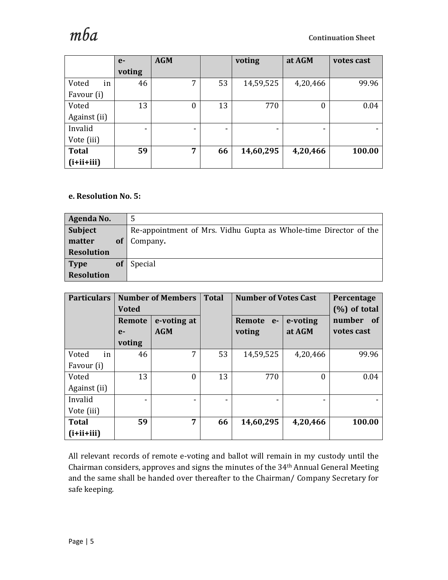

|              | $e-$                     | <b>AGM</b> |                          | voting    | at AGM           | votes cast |  |
|--------------|--------------------------|------------|--------------------------|-----------|------------------|------------|--|
|              | voting                   |            |                          |           |                  |            |  |
| in<br>Voted  | 46                       | 7          | 53                       | 14,59,525 | 4,20,466         | 99.96      |  |
| Favour (i)   |                          |            |                          |           |                  |            |  |
| Voted        | 13                       | $\theta$   | 13                       | 770       | $\boldsymbol{0}$ | 0.04       |  |
| Against (ii) |                          |            |                          |           |                  |            |  |
| Invalid      | $\overline{\phantom{0}}$ | -          | $\overline{\phantom{0}}$ | -         |                  |            |  |
| Vote (iii)   |                          |            |                          |           |                  |            |  |
| <b>Total</b> | 59                       | 7          | 66                       | 14,60,295 | 4,20,466         | 100.00     |  |
| $(i+ii+iii)$ |                          |            |                          |           |                  |            |  |

### **e. Resolution No. 5:**

| Agenda No.        |           |                                                                  |
|-------------------|-----------|------------------------------------------------------------------|
| Subject           |           | Re-appointment of Mrs. Vidhu Gupta as Whole-time Director of the |
| matter            | <b>of</b> | Company.                                                         |
| <b>Resolution</b> |           |                                                                  |
| <b>Type</b>       | <b>of</b> | Special                                                          |
| <b>Resolution</b> |           |                                                                  |

| <b>Particulars</b> |              | <b>Number of Members</b> | <b>Total</b> | <b>Number of Votes Cast</b> | Percentage      |                |
|--------------------|--------------|--------------------------|--------------|-----------------------------|-----------------|----------------|
|                    | <b>Voted</b> |                          |              |                             | $(\%)$ of total |                |
|                    | Remote       | e-voting at              |              | Remote<br>$e-$              | e-voting        | number<br>- of |
|                    | $e-$         | <b>AGM</b>               |              | voting                      | at AGM          | votes cast     |
|                    | voting       |                          |              |                             |                 |                |
| in<br>Voted        | 46           | 7                        | 53           | 14,59,525                   | 4,20,466        | 99.96          |
| Favour (i)         |              |                          |              |                             |                 |                |
| Voted              | 13           | $\boldsymbol{0}$         | 13           | 770                         | $\Omega$        | 0.04           |
| Against (ii)       |              |                          |              |                             |                 |                |
| Invalid            |              |                          | -            | $\overline{\phantom{0}}$    | ۰               | $\blacksquare$ |
| Vote (iii)         |              |                          |              |                             |                 |                |
| <b>Total</b>       | 59           | 7                        | 66           | 14,60,295                   | 4,20,466        | 100.00         |
| $(i+ii+iii)$       |              |                          |              |                             |                 |                |

All relevant records of remote e-voting and ballot will remain in my custody until the Chairman considers, approves and signs the minutes of the 34th Annual General Meeting and the same shall be handed over thereafter to the Chairman/ Company Secretary for safe keeping.